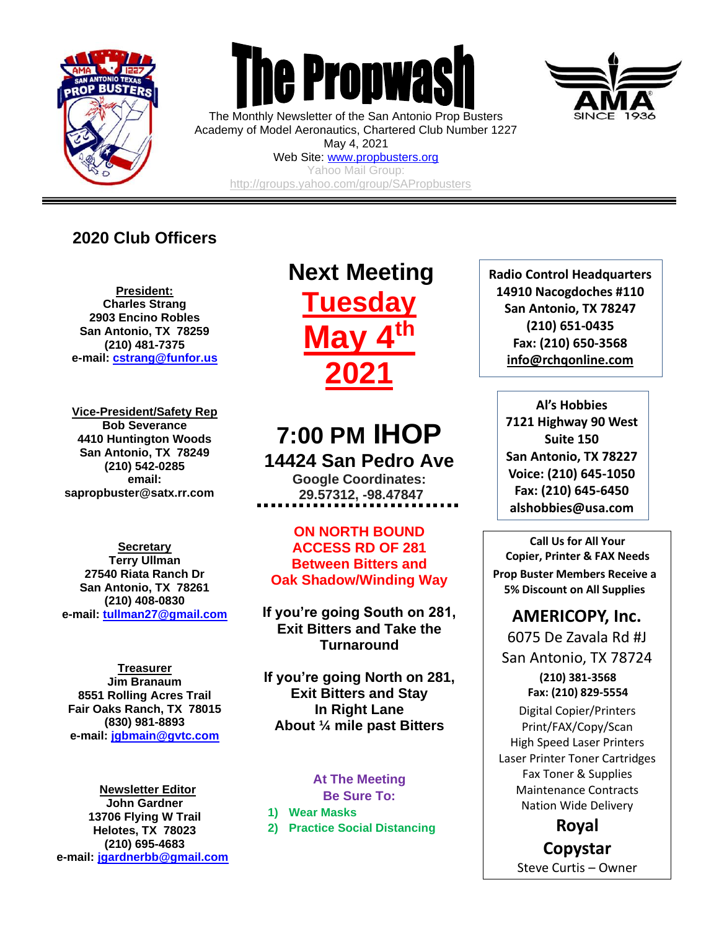

 $\overline{a}$ 



The Monthly Newsletter of the San Antonio Prop Busters Academy of Model Aeronautics, Chartered Club Number 1227 May 4, 2021

Web Site: [www.propbusters.org](http://www.propbusters.org/) Yahoo Mail Group: <http://groups.yahoo.com/group/SAPropbusters>

## **2020 Club Officers**

**President: Charles Strang 2903 Encino Robles San Antonio, TX 78259 (210) 481-7375 e-mail: [cstrang@funfor.us](mailto:cstrang@funfor.us)**

**Vice-President/Safety Rep Bob Severance 4410 Huntington Woods San Antonio, TX 78249 (210) 542-0285 email: sapropbuster@satx.rr.com**

**Secretary Terry Ullman 27540 Riata Ranch Dr San Antonio, TX 78261 (210) 408-0830 e-mail: [tullman27@gmail.com](mailto:tullman27@gmail.com)**

**Treasurer Jim Branaum 8551 Rolling Acres Trail Fair Oaks Ranch, TX 78015 (830) 981-8893 e-mail: [jgbmain@gvtc.com](mailto:jgbmain@gvtc.com)**

**Newsletter Editor John Gardner 13706 Flying W Trail Helotes, TX 78023 (210) 695-4683 e-mail: [jgardnerbb@gmail.com](mailto:jgardnerbb@gmail.com)**

# **Next Meeting Tuesday May 4th 2021**

## **7:00 PM IHOP 14424 San Pedro Ave**

**Google Coordinates: 29.57312, -98.47847**

**ON NORTH BOUND ACCESS RD OF 281 Between Bitters and Oak Shadow/Winding Way**

**If you're going South on 281, Exit Bitters and Take the Turnaround**

**If you're going North on 281, Exit Bitters and Stay In Right Lane About ¼ mile past Bitters**

#### **At The Meeting Be Sure To:**

**1) Wear Masks**

**2) Practice Social Distancing**

**Radio Control Headquarters 14910 Nacogdoches #110 San Antonio, TX 78247 (210) 651-0435 Fax: (210) 650-3568 [info@rchqonline.com](mailto:info@rchqonline.com)**

**Al's Hobbies 7121 Highway 90 West Suite 150 San Antonio, TX 78227 Voice: (210) 645-1050 Fax: (210) 645-6450 alshobbies@usa.com**

**Call Us for All Your Copier, Printer & FAX Needs Prop Buster Members Receive a 5% Discount on All Supplies**

## **AMERICOPY, Inc.**

6075 De Zavala Rd #J San Antonio, TX 78724

> **(210) 381-3568 Fax: (210) 829-5554**

Digital Copier/Printers Print/FAX/Copy/Scan High Speed Laser Printers Laser Printer Toner Cartridges Fax Toner & Supplies Maintenance Contracts Nation Wide Delivery

> **Royal Copystar**

Steve Curtis – Owner

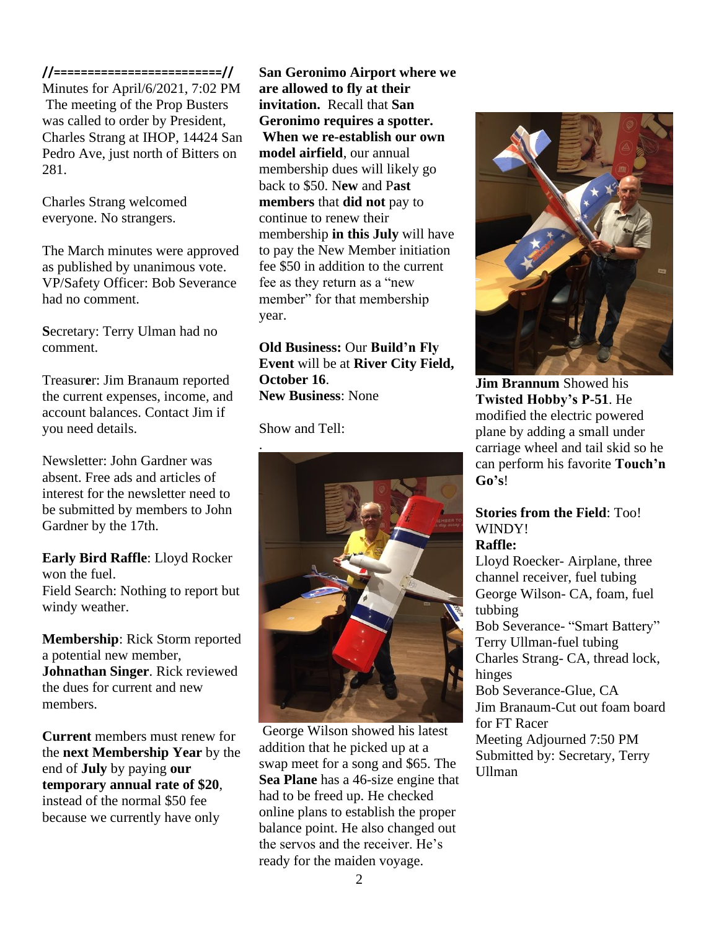#### **//=========================//**

Minutes for April/6/2021, 7:02 PM The meeting of the Prop Busters was called to order by President, Charles Strang at IHOP, 14424 San Pedro Ave, just north of Bitters on 281.

Charles Strang welcomed everyone. No strangers.

The March minutes were approved as published by unanimous vote. VP/Safety Officer: Bob Severance had no comment.

**S**ecretary: Terry Ulman had no comment.

Treasur**e**r: Jim Branaum reported the current expenses, income, and account balances. Contact Jim if you need details.

Newsletter: John Gardner was absent. Free ads and articles of interest for the newsletter need to be submitted by members to John Gardner by the 17th.

**Early Bird Raffle**: Lloyd Rocker won the fuel. Field Search: Nothing to report but windy weather.

**Membership**: Rick Storm reported a potential new member, **Johnathan Singer**. Rick reviewed the dues for current and new members.

**Current** members must renew for the **next Membership Year** by the end of **July** by paying **our temporary annual rate of \$20**, instead of the normal \$50 fee because we currently have only

**San Geronimo Airport where we are allowed to fly at their invitation.** Recall that **San Geronimo requires a spotter. When we re-establish our own model airfield**, our annual membership dues will likely go back to \$50. N**ew** and P**ast members** that **did not** pay to continue to renew their membership **in this July** will have to pay the New Member initiation fee \$50 in addition to the current fee as they return as a "new member" for that membership year.

**Old Business:** Our **Build'n Fly Event** will be at **River City Field, October 16**. **New Business**: None

Show and Tell:



George Wilson showed his latest addition that he picked up at a swap meet for a song and \$65. The **Sea Plane** has a 46-size engine that had to be freed up. He checked online plans to establish the proper balance point. He also changed out the servos and the receiver. He's ready for the maiden voyage.



**Jim Brannum** Showed his **Twisted Hobby's P-51**. He modified the electric powered plane by adding a small under carriage wheel and tail skid so he can perform his favorite **Touch'n Go's**!

### **Stories from the Field**: Too! WINDY! **Raffle:**

Lloyd Roecker- Airplane, three channel receiver, fuel tubing George Wilson- CA, foam, fuel tubbing Bob Severance- "Smart Battery" Terry Ullman-fuel tubing Charles Strang- CA, thread lock, hinges Bob Severance-Glue, CA Jim Branaum-Cut out foam board for FT Racer Meeting Adjourned 7:50 PM Submitted by: Secretary, Terry Ullman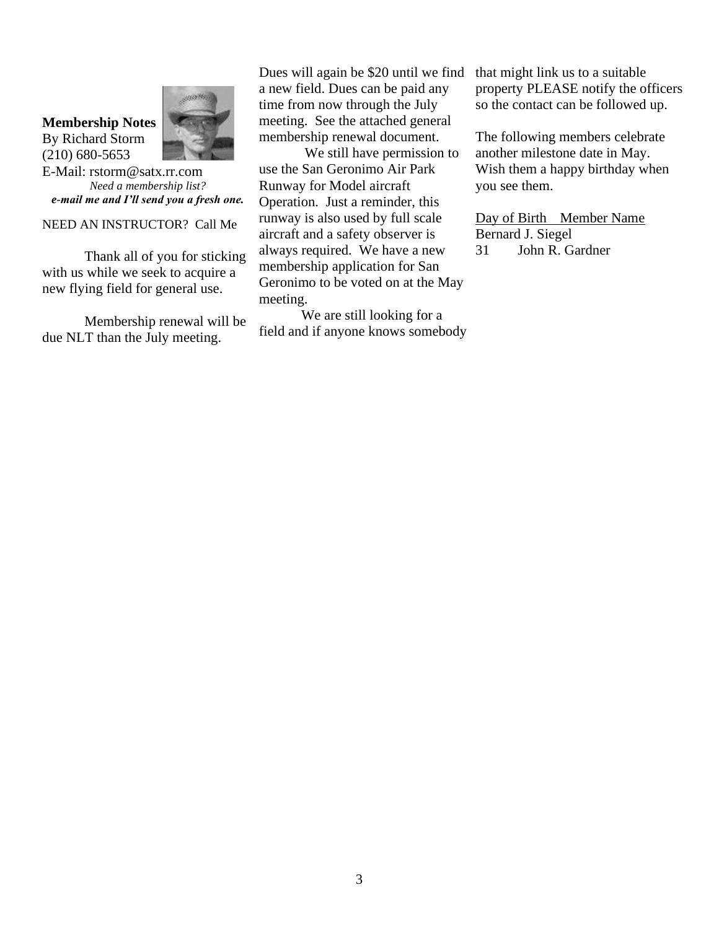## **Membership Notes** By Richard Storm (210) 680-5653



E-Mail: rstorm@satx.rr.com *Need a membership list? e-mail me and I'll send you a fresh one.*

NEED AN INSTRUCTOR? Call Me

Thank all of you for sticking with us while we seek to acquire a new flying field for general use.

Membership renewal will be due NLT than the July meeting.

Dues will again be \$20 until we find a new field. Dues can be paid any time from now through the July meeting. See the attached general membership renewal document.

We still have permission to use the San Geronimo Air Park Runway for Model aircraft Operation. Just a reminder, this runway is also used by full scale aircraft and a safety observer is always required. We have a new membership application for San Geronimo to be voted on at the May meeting.

We are still looking for a field and if anyone knows somebody

that might link us to a suitable property PLEASE notify the officers so the contact can be followed up.

The following members celebrate another milestone date in May. Wish them a happy birthday when you see them.

Day of Birth Member Name Bernard J. Siegel 31 John R. Gardner